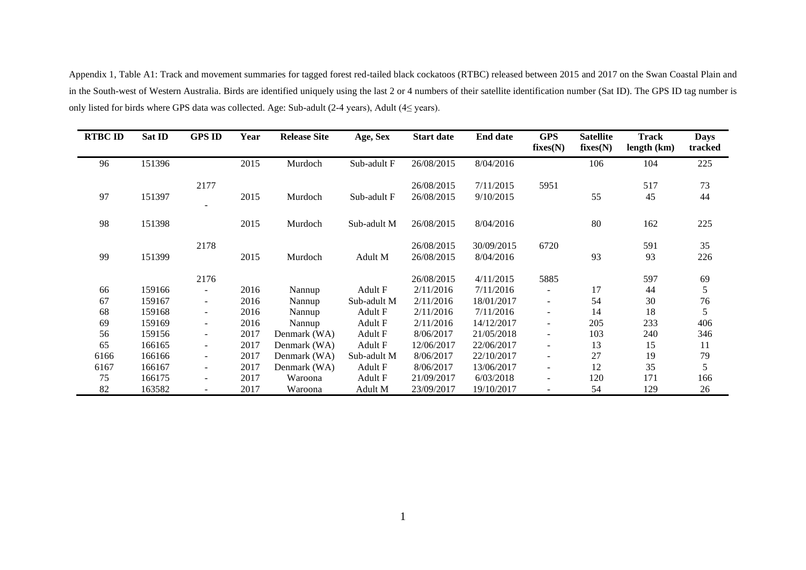Appendix 1, Table A1: Track and movement summaries for tagged forest red-tailed black cockatoos (RTBC) released between 2015 and 2017 on the Swan Coastal Plain and in the South-west of Western Australia. Birds are identified uniquely using the last 2 or 4 numbers of their satellite identification number (Sat ID). The GPS ID tag number is only listed for birds where GPS data was collected. Age: Sub-adult (2-4 years), Adult (4≤ years).

| <b>RTBC ID</b> | Sat ID | <b>GPS ID</b>            | Year | <b>Release Site</b> | Age, Sex    | <b>Start date</b>        | <b>End date</b>        | <b>GPS</b><br>fixes(N)   | <b>Satellite</b><br>fixes(N) | <b>Track</b><br>length (km) | <b>Days</b><br>tracked |
|----------------|--------|--------------------------|------|---------------------|-------------|--------------------------|------------------------|--------------------------|------------------------------|-----------------------------|------------------------|
| 96             | 151396 |                          | 2015 | Murdoch             | Sub-adult F | 26/08/2015               | 8/04/2016              |                          | 106                          | 104                         | 225                    |
| 97             | 151397 | 2177                     | 2015 | Murdoch             | Sub-adult F | 26/08/2015<br>26/08/2015 | 7/11/2015<br>9/10/2015 | 5951                     | 55                           | 517<br>45                   | 73<br>44               |
|                |        |                          |      |                     |             |                          |                        |                          |                              |                             |                        |
| 98             | 151398 |                          | 2015 | Murdoch             | Sub-adult M | 26/08/2015               | 8/04/2016              |                          | 80                           | 162                         | 225                    |
|                |        | 2178                     |      |                     |             | 26/08/2015               | 30/09/2015             | 6720                     |                              | 591                         | 35                     |
| 99             | 151399 |                          | 2015 | Murdoch             | Adult M     | 26/08/2015               | 8/04/2016              |                          | 93                           | 93                          | 226                    |
|                |        | 2176                     |      |                     |             | 26/08/2015               | 4/11/2015              | 5885                     |                              | 597                         | 69                     |
| 66             | 159166 | $\overline{\phantom{a}}$ | 2016 | Nannup              | Adult F     | 2/11/2016                | 7/11/2016              |                          | 17                           | 44                          | 5                      |
| 67             | 159167 | $\sim$                   | 2016 | Nannup              | Sub-adult M | 2/11/2016                | 18/01/2017             |                          | 54                           | 30                          | 76                     |
| 68             | 159168 | $\overline{\phantom{a}}$ | 2016 | Nannup              | Adult F     | 2/11/2016                | 7/11/2016              |                          | 14                           | 18                          | 5                      |
| 69             | 159169 | $\sim$                   | 2016 | Nannup              | Adult F     | 2/11/2016                | 14/12/2017             |                          | 205                          | 233                         | 406                    |
| 56             | 159156 | $\blacksquare$           | 2017 | Denmark (WA)        | Adult F     | 8/06/2017                | 21/05/2018             | -                        | 103                          | 240                         | 346                    |
| 65             | 166165 | $\blacksquare$           | 2017 | Denmark (WA)        | Adult F     | 12/06/2017               | 22/06/2017             | -                        | 13                           | 15                          | 11                     |
| 6166           | 166166 | $\sim$                   | 2017 | Denmark (WA)        | Sub-adult M | 8/06/2017                | 22/10/2017             | $\overline{\phantom{a}}$ | 27                           | 19                          | 79                     |
| 6167           | 166167 | $\sim$                   | 2017 | Denmark (WA)        | Adult F     | 8/06/2017                | 13/06/2017             | $\overline{\phantom{a}}$ | 12                           | 35                          | 5                      |
| 75             | 166175 | $\blacksquare$           | 2017 | Waroona             | Adult F     | 21/09/2017               | 6/03/2018              |                          | 120                          | 171                         | 166                    |
| 82             | 163582 | $\overline{\phantom{a}}$ | 2017 | Waroona             | Adult M     | 23/09/2017               | 19/10/2017             | $\overline{\phantom{a}}$ | 54                           | 129                         | 26                     |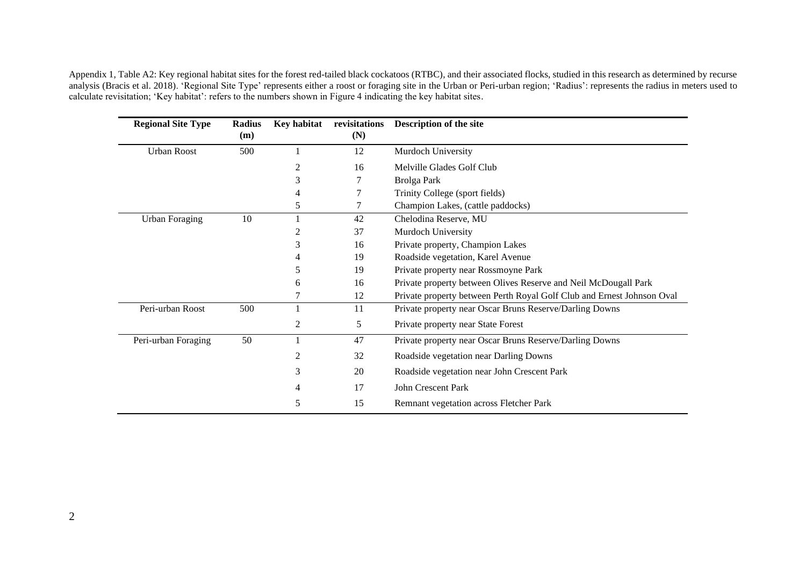Appendix 1, Table A2: Key regional habitat sites for the forest red-tailed black cockatoos (RTBC), and their associated flocks, studied in this research as determined by recurse analysis (Bracis et al. 2018). 'Regional Site Type' represents either a roost or foraging site in the Urban or Peri-urban region; 'Radius': represents the radius in meters used to calculate revisitation; 'Key habitat': refers to the numbers shown in Figure 4 indicating the key habitat sites.

| <b>Regional Site Type</b> | <b>Radius</b><br>(m) | <b>Key habitat</b> | revisitations<br>(N) | Description of the site                                                |
|---------------------------|----------------------|--------------------|----------------------|------------------------------------------------------------------------|
| <b>Urban Roost</b>        | 500                  |                    | 12                   | Murdoch University                                                     |
|                           |                      | $\overline{2}$     | 16                   | Melville Glades Golf Club                                              |
|                           |                      | 3                  |                      | Brolga Park                                                            |
|                           |                      |                    |                      | Trinity College (sport fields)                                         |
|                           |                      | 5                  | 7                    | Champion Lakes, (cattle paddocks)                                      |
| <b>Urban Foraging</b>     | 10                   |                    | 42                   | Chelodina Reserve, MU                                                  |
|                           |                      |                    | 37                   | Murdoch University                                                     |
|                           |                      | 3                  | 16                   | Private property, Champion Lakes                                       |
|                           |                      |                    | 19                   | Roadside vegetation, Karel Avenue                                      |
|                           |                      |                    | 19                   | Private property near Rossmoyne Park                                   |
|                           |                      | 6                  | 16                   | Private property between Olives Reserve and Neil McDougall Park        |
|                           |                      |                    | 12                   | Private property between Perth Royal Golf Club and Ernest Johnson Oval |
| Peri-urban Roost          | 500                  |                    | 11                   | Private property near Oscar Bruns Reserve/Darling Downs                |
|                           |                      | 2                  | 5                    | Private property near State Forest                                     |
| Peri-urban Foraging       | 50                   |                    | 47                   | Private property near Oscar Bruns Reserve/Darling Downs                |
|                           |                      |                    | 32                   | Roadside vegetation near Darling Downs                                 |
|                           |                      | 3                  | 20                   | Roadside vegetation near John Crescent Park                            |
|                           |                      | 4                  | 17                   | <b>John Crescent Park</b>                                              |
|                           |                      | 5                  | 15                   | Remnant vegetation across Fletcher Park                                |